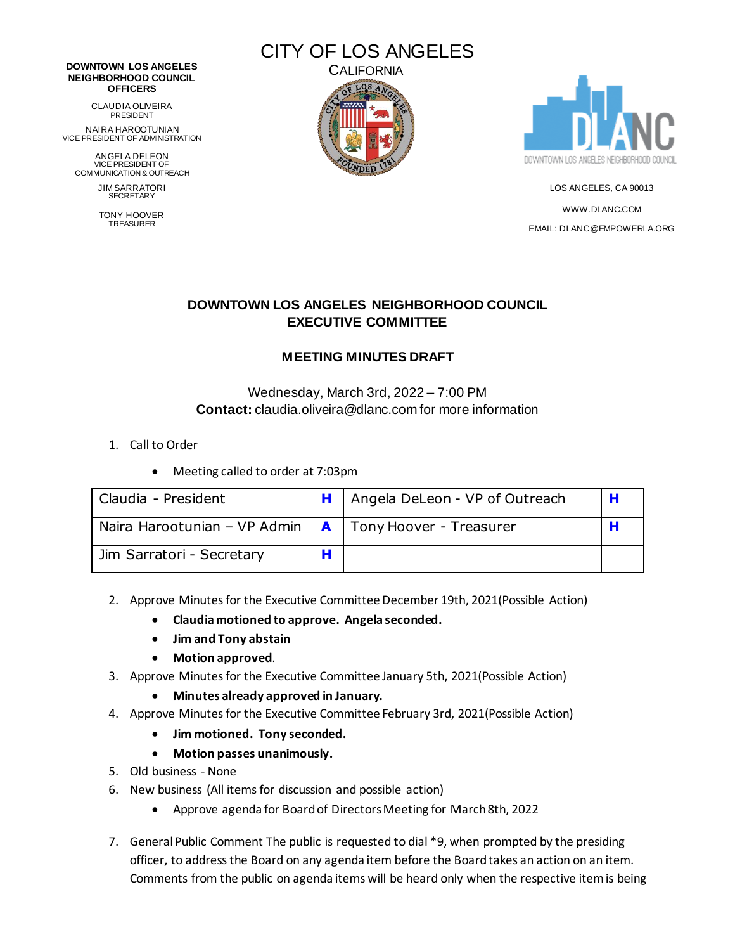#### **DOWNTOWN LOS ANGELES NEIGHBORHOOD COUNCIL OFFICERS**

CLAUDIA OLIVEIRA PRESIDENT

NAIRA HAROOTUNIAN VICE PRESIDENT OF ADMINISTRATION

ANGELA DELEON VICE PRESIDENT OF COMMUNICATION & OUTREACH

> JIM SARRATORI SECRETARY

TONY HOOVER TREASURER





LOS ANGELES, CA 90013 [WWW.DLANC.COM](http://www.dlanc.com/) EMAIL[: DLANC@EMPOWERLA.ORG](mailto:DLANC@EMPOWERLA.ORG)

# **DOWNTOWN LOS ANGELES NEIGHBORHOOD COUNCIL EXECUTIVE COMMITTEE**

## **MEETING MINUTES DRAFT**

### Wednesday, March 3rd, 2022 – 7:00 PM **Contact:** claudia.oliveira@dlanc.com for more information

- 1. Call to Order
	- Meeting called to order at 7:03pm

| Claudia - President                                        |   | H   Angela DeLeon - VP of Outreach |  |
|------------------------------------------------------------|---|------------------------------------|--|
| Naira Harootunian – VP Admin $ A $ Tony Hoover - Treasurer |   |                                    |  |
| Jim Sarratori - Secretary                                  | н |                                    |  |

- 2. Approve Minutes for the Executive Committee December 19th, 2021(Possible Action)
	- **Claudia motioned to approve. Angela seconded.**
	- **Jim and Tony abstain**
	- **Motion approved**.
- 3. Approve Minutes for the Executive Committee January 5th, 2021(Possible Action)
	- **Minutes already approved in January.**
- 4. Approve Minutes for the Executive Committee February 3rd, 2021(Possible Action)
	- **Jim motioned. Tony seconded.**
	- **Motion passes unanimously.**
- 5. Old business None
- 6. New business (All items for discussion and possible action)
	- Approve agenda for Board of Directors Meeting for March 8th, 2022
- 7. General Public Comment The public is requested to dial \*9, when prompted by the presiding officer, to address the Board on any agenda item before the Board takes an action on an item. Comments from the public on agenda items will be heard only when the respective item is being